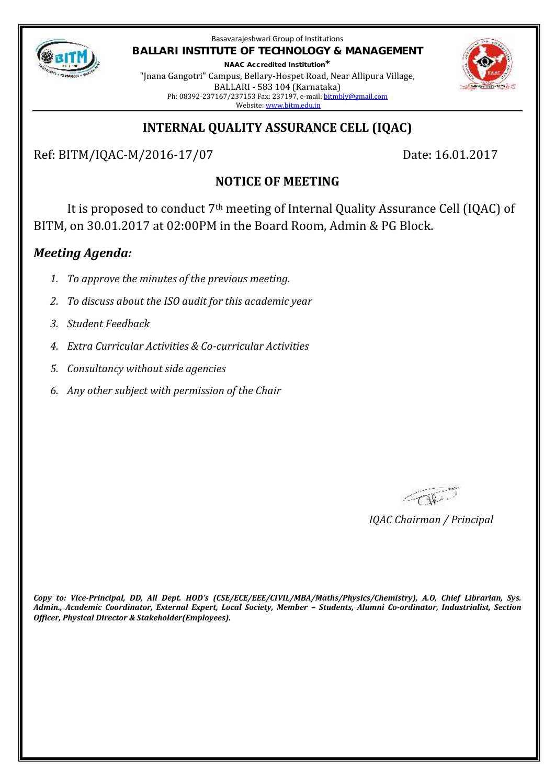

Basavarajeshwari Group of Institutions **BALLARI INSTITUTE OF TECHNOLOGY & MANAGEMENT NAAC Accredited Institution\***

"Jnana Gangotri" Campus, Bellary-Hospet Road, Near Allipura Village, BALLARI - 583 104 (Karnataka) Ph: 08392-237167/237153 Fax: 237197, e-mail: bitmbly@gmail.com Website: www.bitm.edu.in



# **INTERNAL QUALITY ASSURANCE CELL (IQAC)**

Ref: BITM/IQAC-M/2016-17/07 Date: 16.01.2017

# **NOTICE OF MEETING**

It is proposed to conduct 7th meeting of Internal Quality Assurance Cell (IQAC) of BITM, on 30.01.2017 at 02:00PM in the Board Room, Admin & PG Block.

# *Meeting Agenda:*

- *1. To approve the minutes of the previous meeting.*
- *2. To discuss about the ISO audit for this academic year*
- *3. Student Feedback*
- *4. Extra Curricular Activities & Co-curricular Activities*
- *5. Consultancy without side agencies*
- *6. Any other subject with permission of the Chair*

FOR.

*IQAC Chairman / Principal*

*Copy to: Vice-Principal, DD, All Dept. HOD's (CSE/ECE/EEE/CIVIL/MBA/Maths/Physics/Chemistry), A.O, Chief Librarian, Sys. Admin., Academic Coordinator, External Expert, Local Society, Member – Students, Alumni Co-ordinator, Industrialist, Section Officer, Physical Director & Stakeholder(Employees).*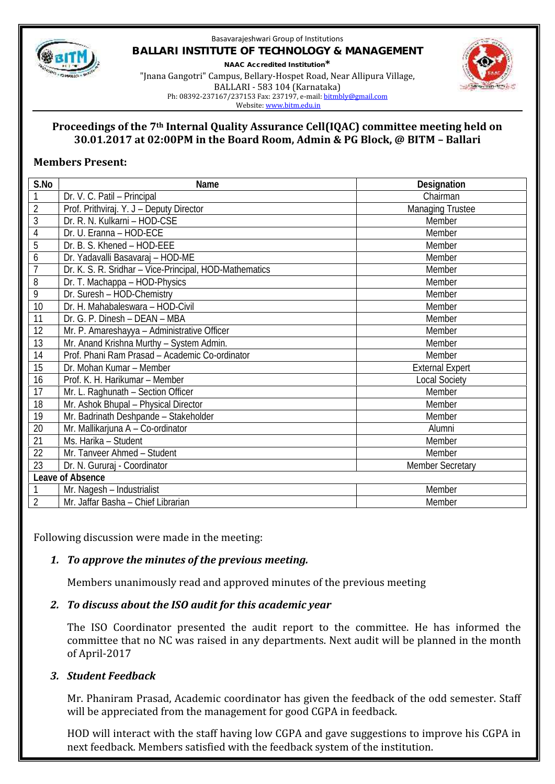

#### Basavarajeshwari Group of Institutions **BALLARI INSTITUTE OF TECHNOLOGY & MANAGEMENT NAAC Accredited Institution\*** "Jnana Gangotri" Campus, Bellary-Hospet Road, Near Allipura Village, BALLARI - 583 104 (Karnataka) Ph: 08392-237167/237153 Fax: 237197, e-mail: bitmbly@gmail.com



### **Proceedings of the 7th Internal Quality Assurance Cell(IQAC) committee meeting held on 30.01.2017 at 02:00PM in the Board Room, Admin & PG Block, @ BITM – Ballari**

### **Members Present:**

| S.No             | Name                                                   | Designation             |
|------------------|--------------------------------------------------------|-------------------------|
| $\mathbf{1}$     | Dr. V. C. Patil - Principal                            | Chairman                |
| $\overline{2}$   | Prof. Prithviraj. Y. J - Deputy Director               | <b>Managing Trustee</b> |
| 3                | Dr. R. N. Kulkarni - HOD-CSE                           | Member                  |
| $\overline{4}$   | Dr. U. Eranna - HOD-ECE                                | Member                  |
| 5                | Dr. B. S. Khened - HOD-EEE                             | Member                  |
| 6                | Dr. Yadavalli Basavaraj - HOD-ME                       | Member                  |
| $\overline{1}$   | Dr. K. S. R. Sridhar - Vice-Principal, HOD-Mathematics | Member                  |
| 8                | Dr. T. Machappa - HOD-Physics                          | Member                  |
| 9                | Dr. Suresh - HOD-Chemistry                             | Member                  |
| 10               | Dr. H. Mahabaleswara - HOD-Civil                       | Member                  |
| 11               | Dr. G. P. Dinesh - DEAN - MBA                          | Member                  |
| 12               | Mr. P. Amareshayya - Administrative Officer            | Member                  |
| 13               | Mr. Anand Krishna Murthy - System Admin.               | Member                  |
| 14               | Prof. Phani Ram Prasad - Academic Co-ordinator         | Member                  |
| 15               | Dr. Mohan Kumar - Member                               | <b>External Expert</b>  |
| 16               | Prof. K. H. Harikumar - Member                         | <b>Local Society</b>    |
| 17               | Mr. L. Raghunath - Section Officer                     | Member                  |
| 18               | Mr. Ashok Bhupal - Physical Director                   | Member                  |
| 19               | Mr. Badrinath Deshpande - Stakeholder                  | Member                  |
| 20               | Mr. Mallikarjuna A - Co-ordinator                      | Alumni                  |
| 21               | Ms. Harika - Student                                   | Member                  |
| 22               | Mr. Tanveer Ahmed - Student                            | Member                  |
| 23               | Dr. N. Gururaj - Coordinator                           | <b>Member Secretary</b> |
| Leave of Absence |                                                        |                         |
| 1                | Mr. Nagesh - Industrialist                             | Member                  |
| $\overline{2}$   | Mr. Jaffar Basha - Chief Librarian                     | Member                  |

Following discussion were made in the meeting:

# *1. To approve the minutes of the previous meeting.*

Members unanimously read and approved minutes of the previous meeting

# *2. To discuss about the ISO audit for this academic year*

The ISO Coordinator presented the audit report to the committee. He has informed the committee that no NC was raised in any departments. Next audit will be planned in the month of April-2017

# *3. Student Feedback*

Mr. Phaniram Prasad, Academic coordinator has given the feedback of the odd semester. Staff will be appreciated from the management for good CGPA in feedback.

HOD will interact with the staff having low CGPA and gave suggestions to improve his CGPA in next feedback. Members satisfied with the feedback system of the institution.